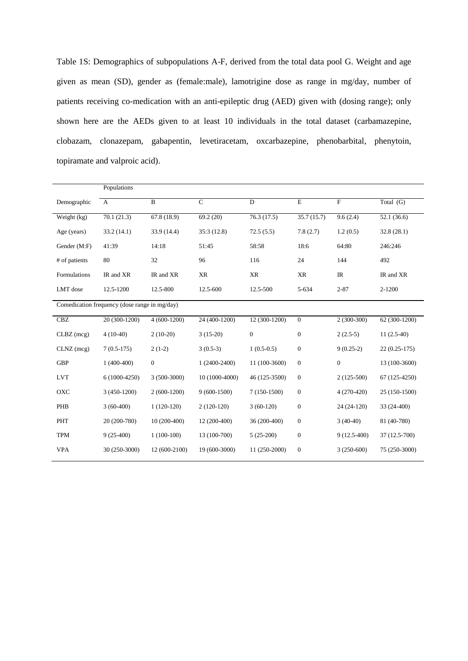Table 1S: Demographics of subpopulations A-F, derived from the total data pool G. Weight and age given as mean (SD), gender as (female:male), lamotrigine dose as range in mg/day, number of patients receiving co-medication with an anti-epileptic drug (AED) given with (dosing range); only shown here are the AEDs given to at least 10 individuals in the total dataset (carbamazepine, clobazam, clonazepam, gabapentin, levetiracetam, oxcarbazepine, phenobarbital, phenytoin, topiramate and valproic acid).

|                                               | Populations    |                          |                |                  |                  |               |                |  |
|-----------------------------------------------|----------------|--------------------------|----------------|------------------|------------------|---------------|----------------|--|
| Demographic                                   | $\mathbf{A}$   | $\mathbf{B}$             | $\mathsf{C}$   | $\mathbf D$      | $\mathbf E$      | $\mathbf F$   | Total (G)      |  |
| Weight $(kg)$                                 | 70.1(21.3)     | $67.8 \overline{(18.9)}$ | 69.2(20)       | 76.3(17.5)       | 35.7(15.7)       | 9.6(2.4)      | 52.1(36.6)     |  |
| Age (years)                                   | 33.2(14.1)     | 33.9 (14.4)              | 35:3(12.8)     | 72.5(5.5)        | 7.8(2.7)         | 1.2(0.5)      | 32.8(28.1)     |  |
| Gender (M:F)                                  | 41:39          | 14:18                    | 51:45          | 58:58            | 18:6             | 64:80         | 246:246        |  |
| # of patients                                 | 80             | 32                       | 96             | 116              | 24               | 144           | 492            |  |
| Formulations                                  | IR and XR      | IR and XR                | XR             | XR               | <b>XR</b>        | IR            | IR and XR      |  |
| LMT dose                                      | 12.5-1200      | 12.5-800                 | 12.5-600       | 12.5-500         | 5-634            | $2 - 87$      | 2-1200         |  |
| Comedication frequency (dose range in mg/day) |                |                          |                |                  |                  |               |                |  |
| CBZ                                           | 20 (300-1200)  | $4(600-1200)$            | 24 (400-1200)  | $12(300-1200)$   | $\Omega$         | $2(300-300)$  | 62 (300-1200)  |  |
| $CLBZ$ (mcg)                                  | $4(10-40)$     | $2(10-20)$               | $3(15-20)$     | $\boldsymbol{0}$ | $\theta$         | $2(2.5-5)$    | $11(2.5-40)$   |  |
| $CLNZ$ (mcg)                                  | $7(0.5-175)$   | $2(1-2)$                 | $3(0.5-3)$     | $1(0.5-0.5)$     | $\theta$         | $9(0.25-2)$   | $22(0.25-175)$ |  |
| <b>GBP</b>                                    | $1(400-400)$   | $\mathbf{0}$             | $1(2400-2400)$ | 11 (100-3600)    | $\theta$         | $\mathbf{0}$  | 13 (100-3600)  |  |
| <b>LVT</b>                                    | $6(1000-4250)$ | $3(500-3000)$            | 10 (1000-4000) | 46 (125-3500)    | $\theta$         | $2(125-500)$  | 67 (125-4250)  |  |
| OXC                                           | $3(450-1200)$  | $2(600-1200)$            | $9(600-1500)$  | $7(150-1500)$    | $\theta$         | $4(270-420)$  | 25 (150-1500)  |  |
| PHB                                           | $3(60-400)$    | $1(120-120)$             | $2(120-120)$   | $3(60-120)$      | $\mathbf{0}$     | 24 (24-120)   | 33 (24-400)    |  |
| <b>PHT</b>                                    | 20 (200-780)   | 10 (200-400)             | 12 (200-400)   | 36 (200-400)     | $\boldsymbol{0}$ | $3(40-40)$    | 81 (40-780)    |  |
| <b>TPM</b>                                    | $9(25-400)$    | $1(100-100)$             | 13 (100-700)   | $5(25-200)$      | $\boldsymbol{0}$ | $9(12.5-400)$ | 37 (12.5-700)  |  |
| <b>VPA</b>                                    | 30 (250-3000)  | 12 (600-2100)            | 19 (600-3000)  | 11 (250-2000)    | $\mathbf{0}$     | $3(250-600)$  | 75 (250-3000)  |  |